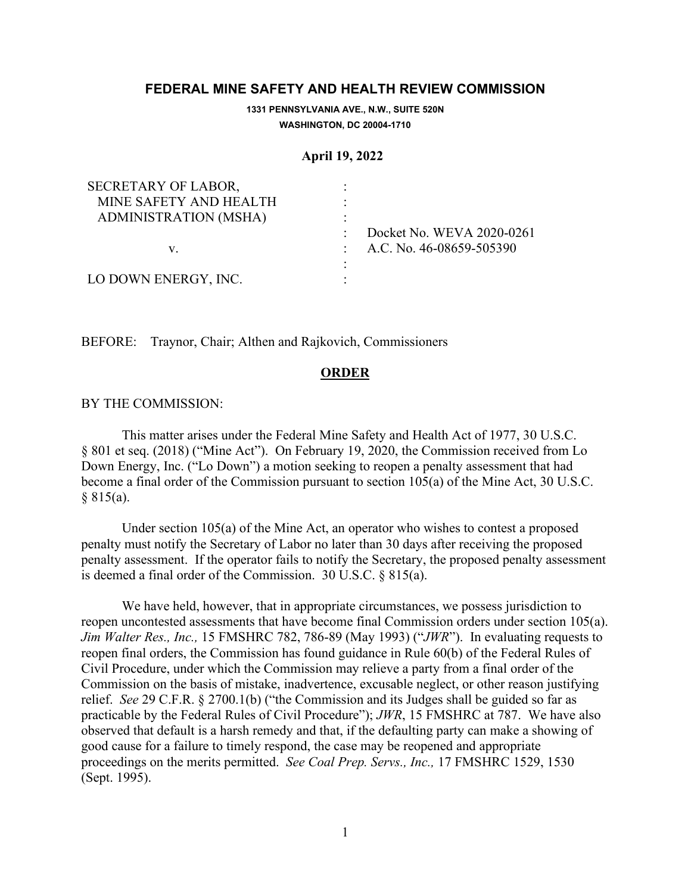# **FEDERAL MINE SAFETY AND HEALTH REVIEW COMMISSION**

**1331 PENNSYLVANIA AVE., N.W., SUITE 520N WASHINGTON, DC 20004-1710**

### **April 19, 2022**

| SECRETARY OF LABOR,          |                              |
|------------------------------|------------------------------|
| MINE SAFETY AND HEALTH       |                              |
| <b>ADMINISTRATION (MSHA)</b> |                              |
|                              | Docket No. WEVA 2020-0261    |
| V.                           | : A.C. No. $46-08659-505390$ |
|                              |                              |
| LO DOWN ENERGY, INC.         |                              |

BEFORE: Traynor, Chair; Althen and Rajkovich, Commissioners

## **ORDER**

#### BY THE COMMISSION:

This matter arises under the Federal Mine Safety and Health Act of 1977, 30 U.S.C. § 801 et seq. (2018) ("Mine Act"). On February 19, 2020, the Commission received from Lo Down Energy, Inc. ("Lo Down") a motion seeking to reopen a penalty assessment that had become a final order of the Commission pursuant to section 105(a) of the Mine Act, 30 U.S.C. § 815(a).

Under section 105(a) of the Mine Act, an operator who wishes to contest a proposed penalty must notify the Secretary of Labor no later than 30 days after receiving the proposed penalty assessment. If the operator fails to notify the Secretary, the proposed penalty assessment is deemed a final order of the Commission. 30 U.S.C. § 815(a).

We have held, however, that in appropriate circumstances, we possess jurisdiction to reopen uncontested assessments that have become final Commission orders under section 105(a). *Jim Walter Res., Inc.,* 15 FMSHRC 782, 786-89 (May 1993) ("*JWR*"). In evaluating requests to reopen final orders, the Commission has found guidance in Rule 60(b) of the Federal Rules of Civil Procedure, under which the Commission may relieve a party from a final order of the Commission on the basis of mistake, inadvertence, excusable neglect, or other reason justifying relief. *See* 29 C.F.R. § 2700.1(b) ("the Commission and its Judges shall be guided so far as practicable by the Federal Rules of Civil Procedure"); *JWR*, 15 FMSHRC at 787. We have also observed that default is a harsh remedy and that, if the defaulting party can make a showing of good cause for a failure to timely respond, the case may be reopened and appropriate proceedings on the merits permitted. *See Coal Prep. Servs., Inc.,* 17 FMSHRC 1529, 1530 (Sept. 1995).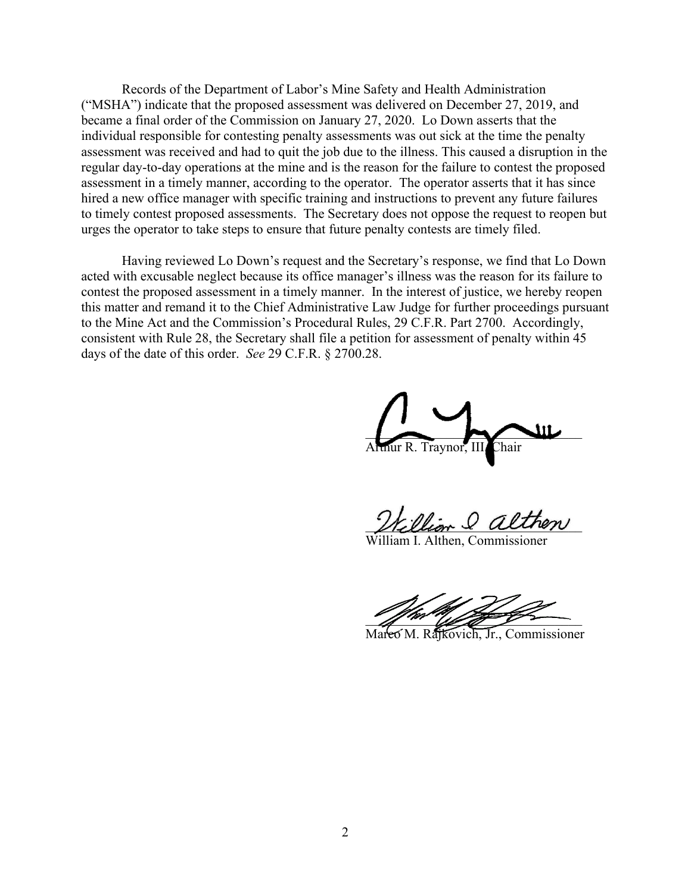Records of the Department of Labor's Mine Safety and Health Administration ("MSHA") indicate that the proposed assessment was delivered on December 27, 2019, and became a final order of the Commission on January 27, 2020. Lo Down asserts that the individual responsible for contesting penalty assessments was out sick at the time the penalty assessment was received and had to quit the job due to the illness. This caused a disruption in the regular day-to-day operations at the mine and is the reason for the failure to contest the proposed assessment in a timely manner, according to the operator. The operator asserts that it has since hired a new office manager with specific training and instructions to prevent any future failures to timely contest proposed assessments. The Secretary does not oppose the request to reopen but urges the operator to take steps to ensure that future penalty contests are timely filed.

Having reviewed Lo Down's request and the Secretary's response, we find that Lo Down acted with excusable neglect because its office manager's illness was the reason for its failure to contest the proposed assessment in a timely manner. In the interest of justice, we hereby reopen this matter and remand it to the Chief Administrative Law Judge for further proceedings pursuant to the Mine Act and the Commission's Procedural Rules, 29 C.F.R. Part 2700. Accordingly, consistent with Rule 28, the Secretary shall file a petition for assessment of penalty within 45 days of the date of this order. *See* 29 C.F.R. § 2700.28.

 $\overline{\phantom{a}}$ .<br>Chair

William & althen

iam I. Althen, Commissioner

 $\frac{1}{2}$  and  $\frac{1}{2}$  and  $\frac{1}{2}$ 

Marco M. Rajkovich, Jr., Commissioner